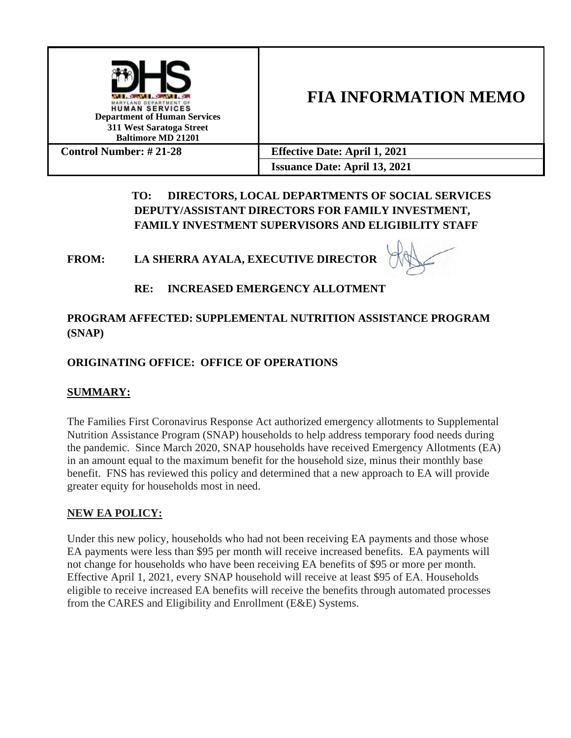

# **FIA INFORMATION MEMO**

| <b>Control Number:</b> $\# 21-28$ | <b>Effective Date: April 1, 2021</b> |
|-----------------------------------|--------------------------------------|
|                                   | <b>Issuance Date: April 13, 2021</b> |

# **TO: DIRECTORS, LOCAL DEPARTMENTS OF SOCIAL SERVICES DEPUTY/ASSISTANT DIRECTORS FOR FAMILY INVESTMENT, FAMILY INVESTMENT SUPERVISORS AND ELIGIBILITY STAFF**

## **FROM: LA SHERRA AYALA, EXECUTIVE DIRECTOR**



## **RE: INCREASED EMERGENCY ALLOTMENT**

## **PROGRAM AFFECTED: SUPPLEMENTAL NUTRITION ASSISTANCE PROGRAM (SNAP)**

## **ORIGINATING OFFICE: OFFICE OF OPERATIONS**

## **SUMMARY:**

The Families First Coronavirus Response Act authorized emergency allotments to Supplemental Nutrition Assistance Program (SNAP) households to help address temporary food needs during the pandemic. Since March 2020, SNAP households have received Emergency Allotments (EA) in an amount equal to the maximum benefit for the household size, minus their monthly base benefit. FNS has reviewed this policy and determined that a new approach to EA will provide greater equity for households most in need.

## **NEW EA POLICY:**

Under this new policy, households who had not been receiving EA payments and those whose EA payments were less than \$95 per month will receive increased benefits. EA payments will not change for households who have been receiving EA benefits of \$95 or more per month. Effective April 1, 2021, every SNAP household will receive at least \$95 of EA. Households eligible to receive increased EA benefits will receive the benefits through automated processes from the CARES and Eligibility and Enrollment (E&E) Systems.